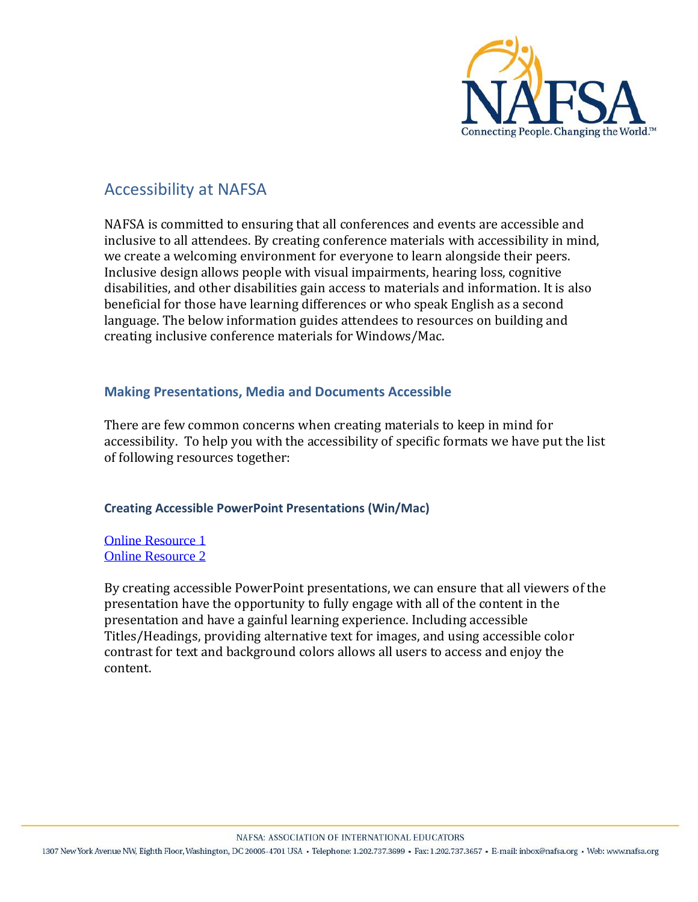

# Accessibility at NAFSA

NAFSA is committed to ensuring that all conferences and events are accessible and inclusive to all attendees. By creating conference materials with accessibility in mind, we create a welcoming environment for everyone to learn alongside their peers. Inclusive design allows people with visual impairments, hearing loss, cognitive disabilities, and other disabilities gain access to materials and information. It is also beneficial for those have learning differences or who speak English as a second language. The below information guides attendees to resources on building and creating inclusive conference materials for Windows/Mac.

## **Making Presentations, Media and Documents Accessible**

There are few common concerns when creating materials to keep in mind for accessibility. To help you with the accessibility of specific formats we have put the list of following resources together:

## **Creating Accessible PowerPoint Presentations (Win/Mac)**

[Online Resource](https://www.queensu.ca/accessibility/how-info/accessible-documents/creating-accessible-powerpoint-presentations-windowsmac) 1 [Online Resource](https://support.office.com/en-us/article/make-your-powerpoint-presentations-accessible-to-people-with-disabilities-6f7772b2-2f33-4bd2-8ca7-dae3b2b3ef25) 2

By creating accessible PowerPoint presentations, we can ensure that all viewers of the presentation have the opportunity to fully engage with all of the content in the presentation and have a gainful learning experience. Including accessible Titles/Headings, providing alternative text for images, and using accessible color contrast for text and background colors allows all users to access and enjoy the content.

NAFSA: ASSOCIATION OF INTERNATIONAL EDUCATORS

1307 New York Avenue NW, Eighth Floor, Washington, DC 20005-4701 USA · Telephone: 1.202.737.3699 · Fax: 1.202.737.3657 · E-mail: inbox@nafsa.org · Web: www.nafsa.org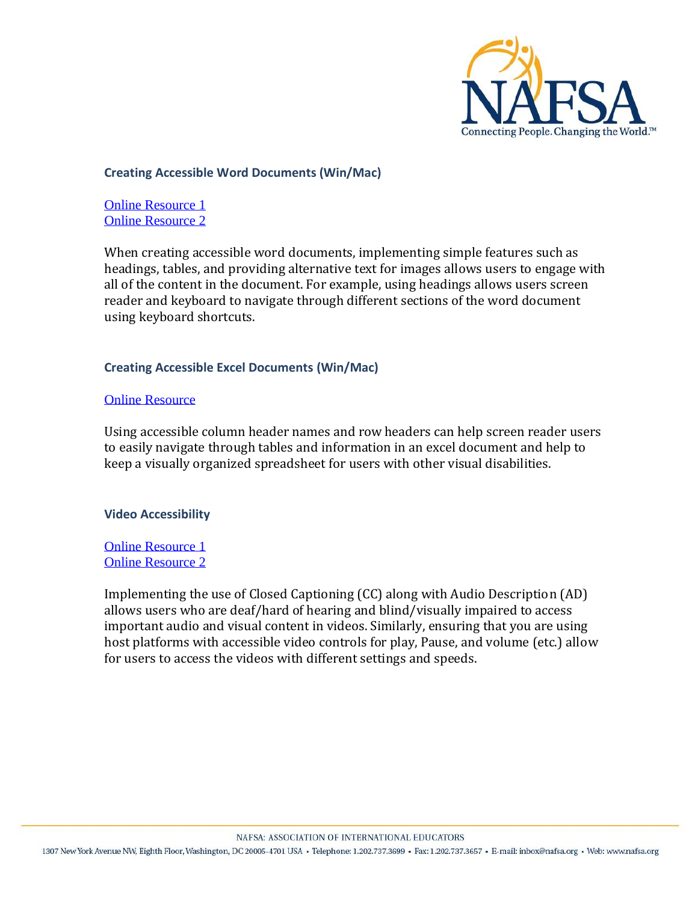

## **Creating Accessible Word Documents (Win/Mac)**

[Online Resource 1](https://www.queensu.ca/accessibility/how-info/accessible-documents/creating-accessible-word-documents-windowsmac) [Online Resource 2](https://support.office.com/en-us/article/make-your-word-documents-accessible-to-people-with-disabilities-d9bf3683-87ac-47ea-b91a-78dcacb3c66d)

When creating accessible word documents, implementing simple features such as headings, tables, and providing alternative text for images allows users to engage with all of the content in the document. For example, using headings allows users screen reader and keyboard to navigate through different sections of the word document using keyboard shortcuts.

## **Creating Accessible Excel Documents (Win/Mac)**

#### [Online Resource](https://support.office.com/en-us/article/make-your-excel-documents-accessible-to-people-with-disabilities-6cc05fc5-1314-48b5-8eb3-683e49b3e593)

Using accessible column header names and row headers can help screen reader users to easily navigate through tables and information in an excel document and help to keep a visually organized spreadsheet for users with other visual disabilities.

#### **Video Accessibility**

[Online Resource 1](https://www.queensu.ca/accessibility/how-info/video-accessibility) [Online Resource 2](https://www.washington.edu/accessibility/videos/)

Implementing the use of Closed Captioning (CC) along with Audio Description (AD) allows users who are deaf/hard of hearing and blind/visually impaired to access important audio and visual content in videos. Similarly, ensuring that you are using host platforms with accessible video controls for play, Pause, and volume (etc.) allow for users to access the videos with different settings and speeds.

NAFSA: ASSOCIATION OF INTERNATIONAL EDUCATORS

1307 New York Avenue NW, Eighth Floor, Washington, DC 20005-4701 USA · Telephone: 1.202.737.3699 · Fax: 1.202.737.3657 · E-mail: inbox@nafsa.org · Web: www.nafsa.org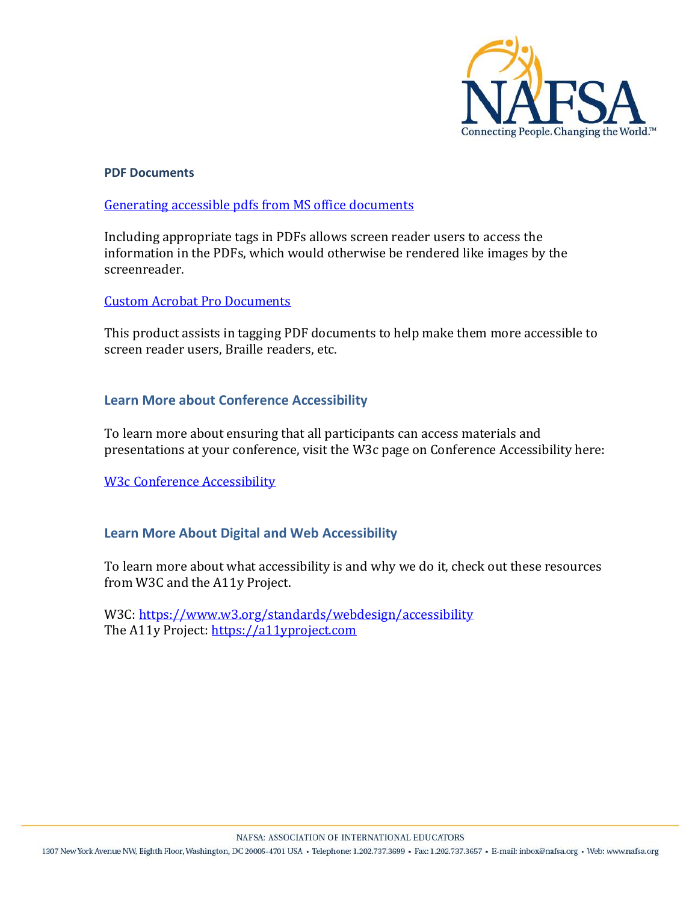

### **PDF Documents**

#### [Generating accessible pdfs from MS office](https://support.office.com/en-us/article/create-accessible-pdfs-064625e0-56ea-4e16-ad71-3aa33bb4b7ed#PickTab=Windows) documents

Including appropriate tags in PDFs allows screen reader users to access the information in the PDFs, which would otherwise be rendered like images by the screenreader.

#### [Custom Acrobat Pro Documents](https://helpx.adobe.com/ca/acrobat/using/create-verify-pdf-accessibility.html)

This product assists in tagging PDF documents to help make them more accessible to screen reader users, Braille readers, etc.

## **Learn More about Conference Accessibility**

To learn more about ensuring that all participants can access materials and presentations at your conference, visit the W3c page on Conference Accessibility here:

[W3c Conference Accessibility](https://www.w3.org/WAI/teach-advocate/accessible-presentations/)

## **Learn More About Digital and Web Accessibility**

To learn more about what accessibility is and why we do it, check out these resources from W3C and the A11y Project.

W3C[: https://www.w3.org/standards/webdesign/accessibility](https://www.w3.org/standards/webdesign/accessibility) The A11y Project: [https://a11yproject.com](https://a11yproject.com/)

1307 New York Avenue NW, Eighth Floor, Washington, DC 20005-4701 USA · Telephone: 1.202.737.3699 · Fax: 1.202.737.3657 · E-mail: inbox@nafsa.org · Web: www.nafsa.org